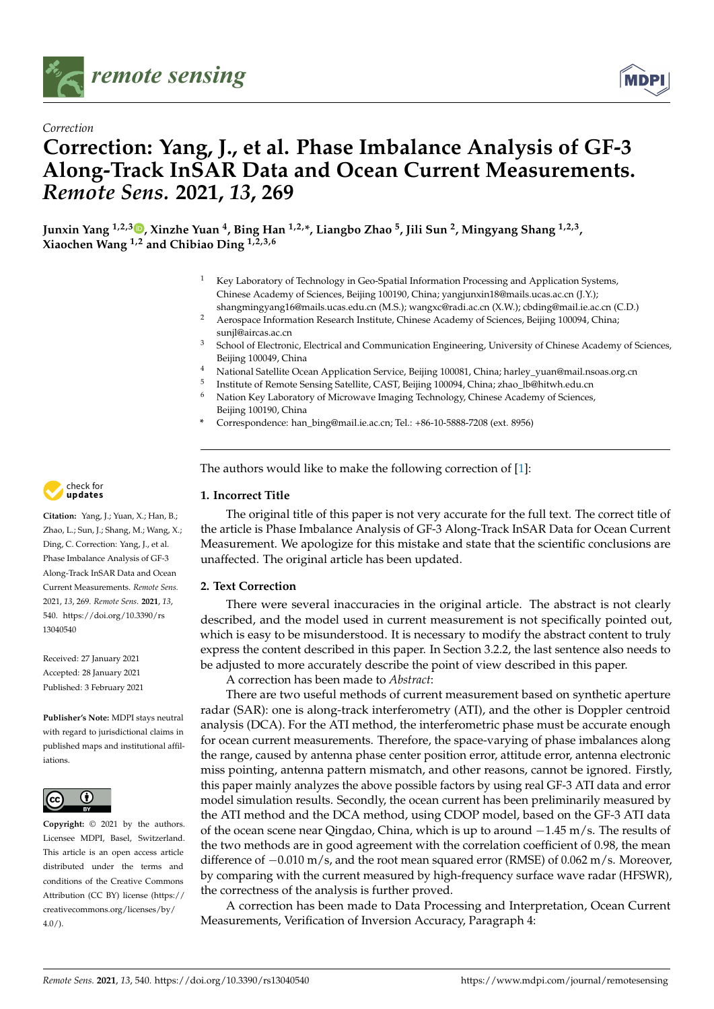



# **Correction: Yang, J., et al. Phase Imbalance Analysis of GF-3 Along-Track InSAR Data and Ocean Current Measurements.** *Remote Sens.* **2021,** *13***, 269**

**Junxin Yang 1,2,[3](https://orcid.org/0000-0003-2445-0359) , Xinzhe Yuan <sup>4</sup> , Bing Han 1,2,\*, Liangbo Zhao <sup>5</sup> , Jili Sun <sup>2</sup> , Mingyang Shang 1,2,3 , Xiaochen Wang 1,2 and Chibiao Ding 1,2,3,6**

- Key Laboratory of Technology in Geo-Spatial Information Processing and Application Systems, Chinese Academy of Sciences, Beijing 100190, China; yangjunxin18@mails.ucas.ac.cn (J.Y.); shangmingyang16@mails.ucas.edu.cn (M.S.); wangxc@radi.ac.cn (X.W.); cbding@mail.ie.ac.cn (C.D.)
- <sup>2</sup> Aerospace Information Research Institute, Chinese Academy of Sciences, Beijing 100094, China; sunjl@aircas.ac.cn
- School of Electronic, Electrical and Communication Engineering, University of Chinese Academy of Sciences, Beijing 100049, China
- <sup>4</sup> National Satellite Ocean Application Service, Beijing 100081, China; harley\_yuan@mail.nsoas.org.cn
- 5 Institute of Remote Sensing Satellite, CAST, Beijing 100094, China; zhao\_lb@hitwh.edu.cn
- <sup>6</sup> Nation Key Laboratory of Microwave Imaging Technology, Chinese Academy of Sciences, Beijing 100190, China
- **\*** Correspondence: han\_bing@mail.ie.ac.cn; Tel.: +86-10-5888-7208 (ext. 8956)

The authors would like to make the following correction of [\[1\]](#page-1-0):

### **1. Incorrect Title**

The original title of this paper is not very accurate for the full text. The correct title of the article is Phase Imbalance Analysis of GF-3 Along-Track InSAR Data for Ocean Current Measurement. We apologize for this mistake and state that the scientific conclusions are unaffected. The original article has been updated.

### **2. Text Correction**

There were several inaccuracies in the original article. The abstract is not clearly described, and the model used in current measurement is not specifically pointed out, which is easy to be misunderstood. It is necessary to modify the abstract content to truly express the content described in this paper. In Section 3.2.2, the last sentence also needs to be adjusted to more accurately describe the point of view described in this paper.

A correction has been made to *Abstract*:

There are two useful methods of current measurement based on synthetic aperture radar (SAR): one is along-track interferometry (ATI), and the other is Doppler centroid analysis (DCA). For the ATI method, the interferometric phase must be accurate enough for ocean current measurements. Therefore, the space-varying of phase imbalances along the range, caused by antenna phase center position error, attitude error, antenna electronic miss pointing, antenna pattern mismatch, and other reasons, cannot be ignored. Firstly, this paper mainly analyzes the above possible factors by using real GF-3 ATI data and error model simulation results. Secondly, the ocean current has been preliminarily measured by the ATI method and the DCA method, using CDOP model, based on the GF-3 ATI data of the ocean scene near Qingdao, China, which is up to around −1.45 m/s. The results of the two methods are in good agreement with the correlation coefficient of 0.98, the mean difference of  $-0.010$  m/s, and the root mean squared error (RMSE) of 0.062 m/s. Moreover, by comparing with the current measured by high-frequency surface wave radar (HFSWR), the correctness of the analysis is further proved.

A correction has been made to Data Processing and Interpretation, Ocean Current Measurements, Verification of Inversion Accuracy, Paragraph 4:



**Citation:** Yang, J.; Yuan, X.; Han, B.; Zhao, L.; Sun, J.; Shang, M.; Wang, X.; Ding, C. Correction: Yang, J., et al. Phase Imbalance Analysis of GF-3 Along-Track InSAR Data and Ocean Current Measurements. *Remote Sens.* 2021, *13*, 269. *Remote Sens.* **2021**, *13*, 540. [https://doi.org/10.3390/rs](https://doi.org/10.3390/rs13040540) [13040540](https://doi.org/10.3390/rs13040540)

Received: 27 January 2021 Accepted: 28 January 2021 Published: 3 February 2021

**Publisher's Note:** MDPI stays neutral with regard to jurisdictional claims in published maps and institutional affiliations.



**Copyright:** © 2021 by the authors. Licensee MDPI, Basel, Switzerland. This article is an open access article distributed under the terms and conditions of the Creative Commons Attribution (CC BY) license (https:/[/](https://creativecommons.org/licenses/by/4.0/) [creativecommons.org/licenses/by/](https://creativecommons.org/licenses/by/4.0/)  $4.0/$ ).